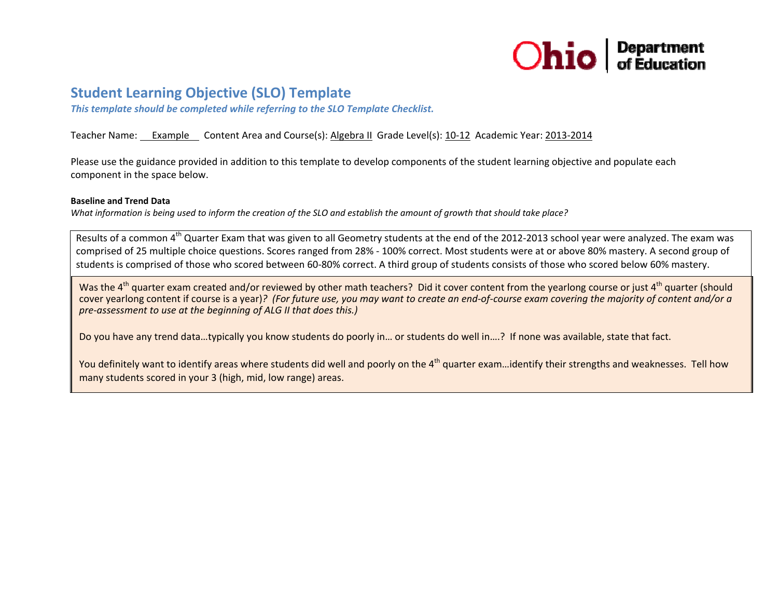

# **Student Learning Objective (SLO) Template**

*This template should be completed while referring to the SLO Template Checklist.*

## Teacher Name: <u>Gexample Content Area and Course(s): Algebra II</u> Grade Level(s): 10–12 Academic Year: 2013–2014

Please use the guidance provided in addition to this template to develop components of the student learning objective and populate each component in the space below.

#### **Baseline and Trend Data**

What information is being used to inform the creation of the SLO and establish the amount of growth that should take place?

Results of a common 4<sup>th</sup> Quarter Exam that was given to all Geometry students at the end of the 2012-2013 school year were analyzed. The exam was comprised of 25 multiple choice questions. Scores ranged from 28% ‐ 100% correct. Most students were at or above 80% mastery. A second group of students is comprised of those who scored between 60‐80% correct. A third group of students consists of those who scored below 60% mastery.

Was the 4<sup>th</sup> quarter exam created and/or reviewed by other math teachers? Did it cover content from the yearlong course or just 4<sup>th</sup> quarter (should cover yearlong content if course is a year)? (For future use, you may want to create an end-of-course exam covering the majority of content and/or a *pre‐assessment to use at the beginning of ALG II that does this.)*

Do you have any trend data…typically you know students do poorly in… or students do well in….? If none was available, state that fact.

You definitely want to identify areas where students did well and poorly on the 4<sup>th</sup> quarter exam…identify their strengths and weaknesses. Tell how many students scored in your 3 (high, mid, low range) areas.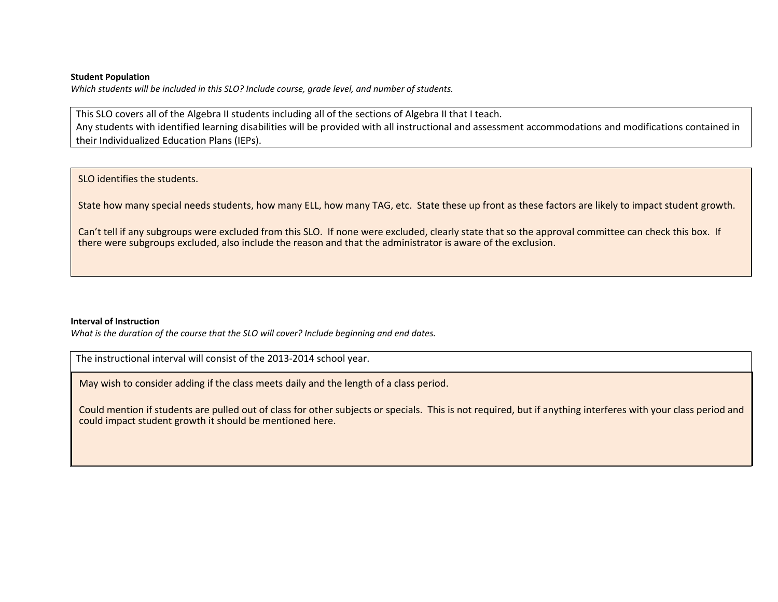#### **Student Population**

*Which students will be included in this SLO? Include course, grade level, and number of students.*

This SLO covers all of the Algebra II students including all of the sections of Algebra II that I teach. Any students with identified learning disabilities will be provided with all instructional and assessment accommodations and modifications contained in their Individualized Education Plans (IEPs).

## SLO identifies the students.

State how many special needs students, how many ELL, how many TAG, etc. State these up front as these factors are likely to impact student growth.

Can't tell if any subgroups were excluded from this SLO. If none were excluded, clearly state that so the approval committee can check this box. If there were subgroups excluded, also include the reason and that the administrator is aware of the exclusion.

### **Interval of Instruction**

*What is the duration of the course that the SLO will cover? Include beginning and end dates.*

The instructional interval will consist of the 2013‐2014 school year.

May wish to consider adding if the class meets daily and the length of <sup>a</sup> class period.

Could mention if students are pulled out of class for other subjects or specials. This is not required, but if anything interferes with your class period and could impact student growth it should be mentioned here.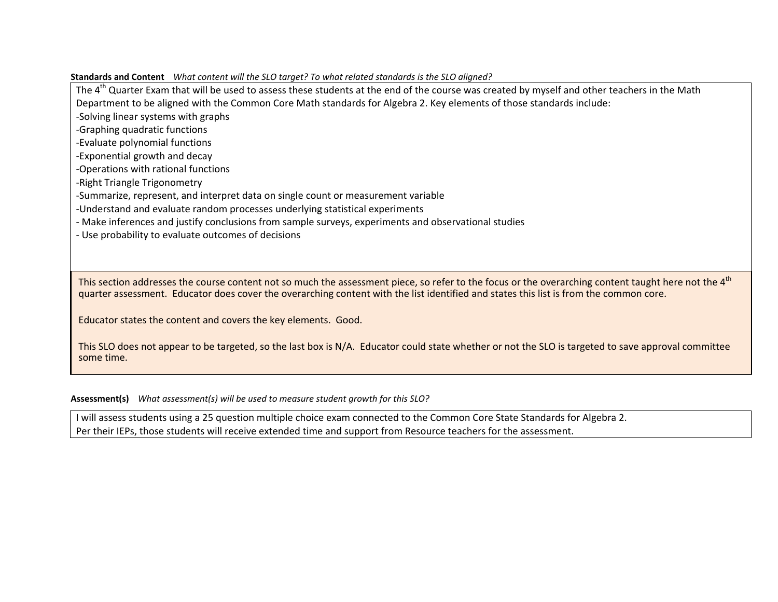The 4<sup>th</sup> Quarter Exam that will be used to assess these students at the end of the course was created by myself and other teachers in the Math Department to be aligned with the Common Core Math standards for Algebra 2. Key elements of those standards include: ‐Solving linear systems with graphs ‐Graphing quadratic functions ‐Evaluate polynomial functions ‐Exponential growth and decay ‐Operations with rational functions ‐Right Triangle Trigonometry ‐Summarize, represent, and interpret data on single count or measurement variable ‐Understand and evaluate random processes underlying statistical experiments ‐ Make inferences and justify conclusions from sample surveys, experiments and observational studies ‐ Use probability to evaluate outcomes of decisions

This section addresses the course content not so much the assessment piece, so refer to the focus or the overarching content taught here not the 4<sup>th</sup> quarter assessment. Educator does cover the overarching content with the list identified and states this list is from the common core.

Educator states the content and covers the key elements. Good.

This SLO does not appear to be targeted, so the last box is N/A. Educator could state whether or not the SLO is targeted to save approval committee some time.

**Assessment(s)** *What assessment(s) will be used to measure student growth for this SLO?*

**Standards and Content** *What content will the SLO target? To what related standards is the SLO aligned?*

II will assess students using a 25 question multiple choice exam connected to the Common Core State Standards for Algebra 2. Per their IEPs, those students will receive extended time and support from Resource teachers for the assessment.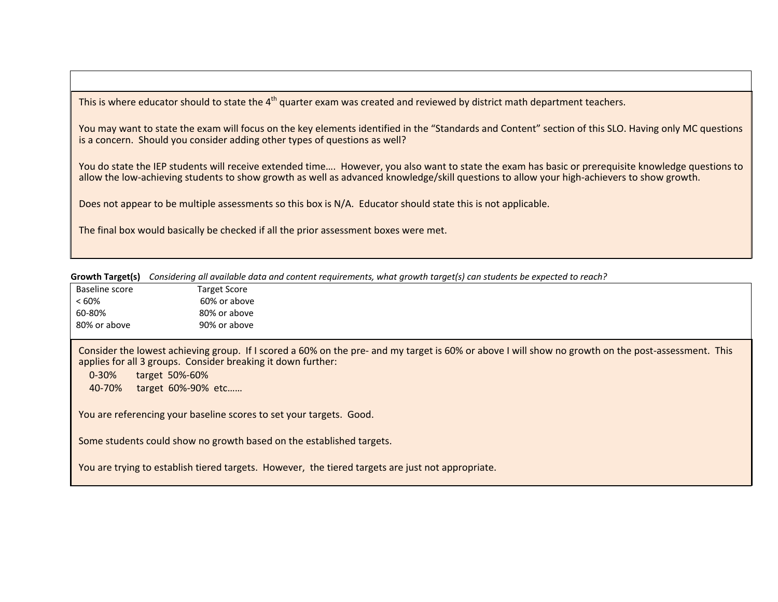This is where educator should to state the 4<sup>th</sup> quarter exam was created and reviewed by district math department teachers.

You may want to state the exam will focus on the key elements identified in the "Standards and Content" section of this SLO. Having only MC questions is a concern. Should you consider adding other types of questions as well?

You do state the IEP students will receive extended time…. However, you also want to state the exam has basic or prerequisite knowledge questions to allow the low‐achieving students to show growth as well as advanced knowledge/skill questions to allow your high‐achievers to show growth.

Does not appear to be multiple assessments so this box is N/A. Educator should state this is not applicable.

The final box would basically be checked if all the prior assessment boxes were met.

| Growth Target(s) Considering all available data and content requirements, what growth target(s) can students be expected to reach? |  |  |
|------------------------------------------------------------------------------------------------------------------------------------|--|--|
|                                                                                                                                    |  |  |

| Baseline score | <b>Target Score</b> |  |  |
|----------------|---------------------|--|--|
| $<60\%$        | 60% or above        |  |  |
| 60-80%         | 80% or above        |  |  |
| 80% or above   | 90% or above        |  |  |
|                |                     |  |  |

Consider the lowest achieving group. If I scored a 60% on the pre- and my target is 60% or above I will show no growth on the post-assessment. This applies for all 3 groups. Consider breaking it down further:

0‐30%target 50%‐60%

40‐70% target 60%‐90% etc……

You are referencing your baseline scores to set your targets. Good.

Some students could show no growth based on the established targets.

You are trying to establish tiered targets. However, the tiered targets are just not appropriate.